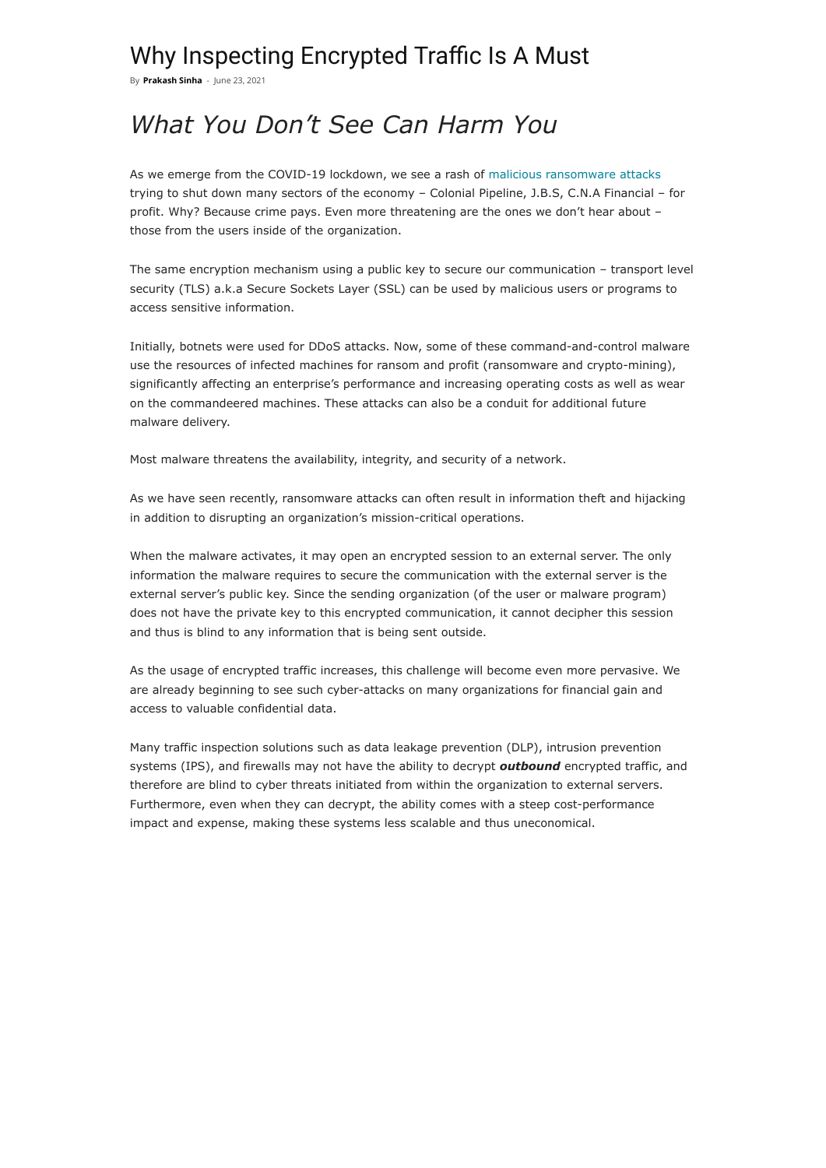## Why Inspecting Encrypted Traffic Is A Must

By **[Prakash](https://blog.radware.com/author/prakashs/) Sinha** - June 23, 2021

# *What You Don't See Can Harm You*

As we emerge from the COVID-19 lockdown, we see a rash of [malicious ransomware attacks](https://www.radware.com/newsevents/pressreleases/2021/fancy-lazarus-ddos-extortion-group-back) trying to shut down many sectors of the economy – Colonial Pipeline, J.B.S, C.N.A Financial – for profit. Why? Because crime pays. Even more threatening are the ones we don't hear about – those from the users inside of the organization.

The same encryption mechanism using a public key to secure our communication – transport level security (TLS) a.k.a Secure Sockets Layer (SSL) can be used by malicious users or programs to access sensitive information.

Initially, botnets were used for DDoS attacks. Now, some of these command-and-control malware use the resources of infected machines for ransom and profit (ransomware and crypto-mining), significantly affecting an enterprise's performance and increasing operating costs as well as wear on the commandeered machines. These attacks can also be a conduit for additional future malware delivery.

Most malware threatens the availability, integrity, and security of a network.

As we have seen recently, ransomware attacks can often result in information theft and hijacking in addition to disrupting an organization's mission-critical operations.

When the malware activates, it may open an encrypted session to an external server. The only information the malware requires to secure the communication with the external server is the external server's public key. Since the sending organization (of the user or malware program) does not have the private key to this encrypted communication, it cannot decipher this session and thus is blind to any information that is being sent outside.

As the usage of encrypted traffic increases, this challenge will become even more pervasive. We are already beginning to see such cyber-attacks on many organizations for financial gain and access to valuable confidential data.

Many traffic inspection solutions such as data leakage prevention (DLP), intrusion prevention systems (IPS), and firewalls may not have the ability to decrypt *outbound* encrypted traffic, and therefore are blind to cyber threats initiated from within the organization to external servers. Furthermore, even when they can decrypt, the ability comes with a steep cost-performance impact and expense, making these systems less scalable and thus uneconomical.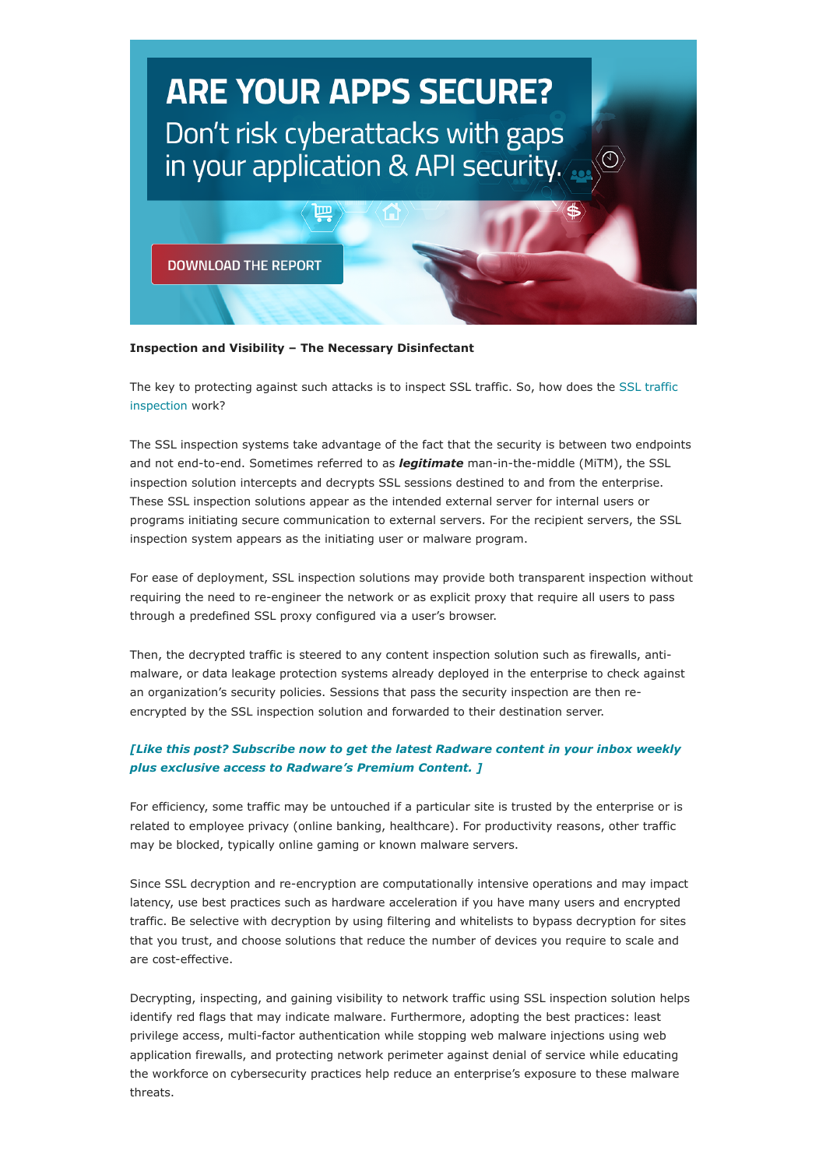

#### **Inspection and Visibility – The Necessary Disinfectant**

[The key to protecting against such attacks is to inspect SSL traffic. So, how does the SSL traffic](https://www.radware.com/solutions/ssl-inspection/) inspection work?

The SSL inspection systems take advantage of the fact that the security is between two endpoints and not end-to-end. Sometimes referred to as *legitimate* man-in-the-middle (MiTM), the SSL inspection solution intercepts and decrypts SSL sessions destined to and from the enterprise. These SSL inspection solutions appear as the intended external server for internal users or programs initiating secure communication to external servers. For the recipient servers, the SSL inspection system appears as the initiating user or malware program.

For ease of deployment, SSL inspection solutions may provide both transparent inspection without requiring the need to re-engineer the network or as explicit proxy that require all users to pass through a predefined SSL proxy configured via a user's browser.

Then, the decrypted traffic is steered to any content inspection solution such as firewalls, antimalware, or data leakage protection systems already deployed in the enterprise to check against an organization's security policies. Sessions that pass the security inspection are then reencrypted by the SSL inspection solution and forwarded to their destination server.

## *[\[Like this post? Subscribe now to get the latest Radware content in your inbox weekly](https://blog.radware.com/user-registration/) plus exclusive access to Radware's Premium Content. ]*

For efficiency, some traffic may be untouched if a particular site is trusted by the enterprise or is related to employee privacy (online banking, healthcare). For productivity reasons, other traffic may be blocked, typically online gaming or known malware servers.

Since SSL decryption and re-encryption are computationally intensive operations and may impact latency, use best practices such as hardware acceleration if you have many users and encrypted traffic. Be selective with decryption by using filtering and whitelists to bypass decryption for sites that you trust, and choose solutions that reduce the number of devices you require to scale and are cost-effective.

Decrypting, inspecting, and gaining visibility to network traffic using SSL inspection solution helps identify red flags that may indicate malware. Furthermore, adopting the best practices: least privilege access, multi-factor authentication while stopping web malware injections using web application firewalls, and protecting network perimeter against denial of service while educating the workforce on cybersecurity practices help reduce an enterprise's exposure to these malware threats.